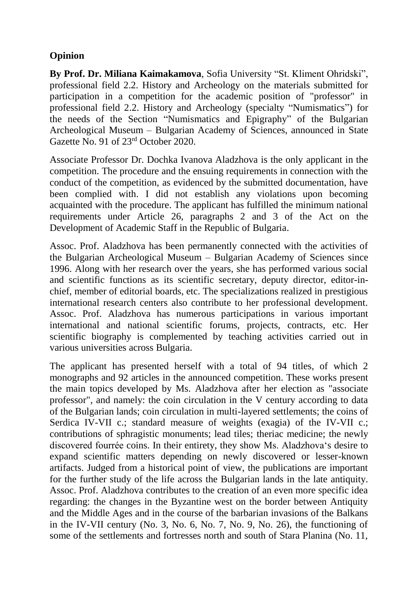## **Opinion**

**By Prof. Dr. Miliana Kaimakamova**, Sofia University "St. Kliment Ohridski", professional field 2.2. History and Archeology on the materials submitted for participation in a competition for the academic position of "professor" in professional field 2.2. History and Archeology (specialty "Numismatics") for the needs of the Section "Numismatics and Epigraphy" of the Bulgarian Archeological Museum – Bulgarian Academy of Sciences, announced in State Gazette No. 91 of 23rd October 2020.

Associate Professor Dr. Dochka Ivanova Aladzhova is the only applicant in the competition. The procedure and the ensuing requirements in connection with the conduct of the competition, as evidenced by the submitted documentation, have been complied with. I did not establish any violations upon becoming acquainted with the procedure. The applicant has fulfilled the minimum national requirements under Article 26, paragraphs 2 and 3 of the Act on the Development of Academic Staff in the Republic of Bulgaria.

Assoc. Prof. Aladzhova has been permanently connected with the activities of the Bulgarian Archeological Museum – Bulgarian Academy of Sciences since 1996. Along with her research over the years, she has performed various social and scientific functions as its scientific secretary, deputy director, editor-inchief, member of editorial boards, etc. The specializations realized in prestigious international research centers also contribute to her professional development. Assoc. Prof. Aladzhova has numerous participations in various important international and national scientific forums, projects, contracts, etc. Her scientific biography is complemented by teaching activities carried out in various universities across Bulgaria.

The applicant has presented herself with a total of 94 titles, of which 2 monographs and 92 articles in the announced competition. These works present the main topics developed by Ms. Aladzhova after her election as "associate professor", and namely: the coin circulation in the V century according to data of the Bulgarian lands; coin circulation in multi-layered settlements; the coins of Serdica IV-VII c.; standard measure of weights (exagia) of the IV-VII c.; contributions of sphragistic monuments; lead tiles; theriac medicine; the newly discovered fourrée coins. In their entirety, they show Ms. Aladzhova's desire to expand scientific matters depending on newly discovered or lesser-known artifacts. Judged from a historical point of view, the publications are important for the further study of the life across the Bulgarian lands in the late antiquity. Assoc. Prof. Aladzhova contributes to the creation of an even more specific idea regarding: the changes in the Byzantine west on the border between Antiquity and the Middle Ages and in the course of the barbarian invasions of the Balkans in the IV-VII century (No. 3, No. 6, No. 7, No. 9, No. 26), the functioning of some of the settlements and fortresses north and south of Stara Planina (No. 11,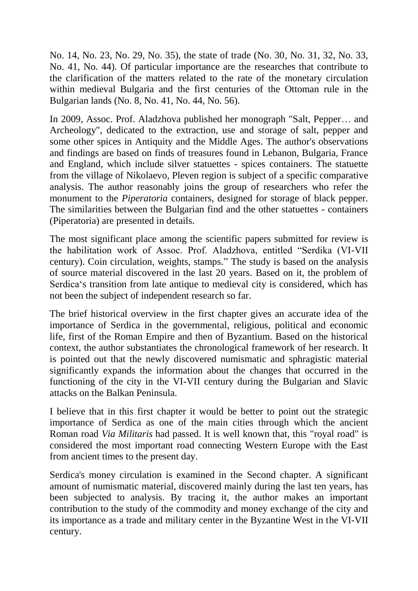No. 14, No. 23, No. 29, No. 35), the state of trade (No. 30, No. 31, 32, No. 33, No. 41, No. 44). Of particular importance are the researches that contribute to the clarification of the matters related to the rate of the monetary circulation within medieval Bulgaria and the first centuries of the Ottoman rule in the Bulgarian lands (No. 8, No. 41, No. 44, No. 56).

In 2009, Assoc. Prof. Aladzhova published her monograph "Salt, Pepper… and Archeology", dedicated to the extraction, use and storage of salt, pepper and some other spices in Antiquity and the Middle Ages. The author's observations and findings are based on finds of treasures found in Lebanon, Bulgaria, France and England, which include silver statuettes - spices containers. The statuette from the village of Nikolaevo, Pleven region is subject of a specific comparative analysis. The author reasonably joins the group of researchers who refer the monument to the *Piperatoria* containers, designed for storage of black pepper. The similarities between the Bulgarian find and the other statuettes - containers (Piperatoria) are presented in details.

The most significant place among the scientific papers submitted for review is the habilitation work of Assoc. Prof. Aladzhova, entitled "Serdika (VI-VII century). Coin circulation, weights, stamps." The study is based on the analysis of source material discovered in the last 20 years. Based on it, the problem of Serdica's transition from late antique to medieval city is considered, which has not been the subject of independent research so far.

The brief historical overview in the first chapter gives an accurate idea of the importance of Serdica in the governmental, religious, political and economic life, first of the Roman Empire and then of Byzantium. Based on the historical context, the author substantiates the chronological framework of her research. It is pointed out that the newly discovered numismatic and sphragistic material significantly expands the information about the changes that occurred in the functioning of the city in the VI-VII century during the Bulgarian and Slavic attacks on the Balkan Peninsula.

I believe that in this first chapter it would be better to point out the strategic importance of Serdica as one of the main cities through which the ancient Roman road *Via Militaris* had passed. It is well known that, this "royal road" is considered the most important road connecting Western Europe with the East from ancient times to the present day.

Serdica's money circulation is examined in the Second chapter. A significant amount of numismatic material, discovered mainly during the last ten years, has been subjected to analysis. By tracing it, the author makes an important contribution to the study of the commodity and money exchange of the city and its importance as a trade and military center in the Byzantine West in the VI-VII century.